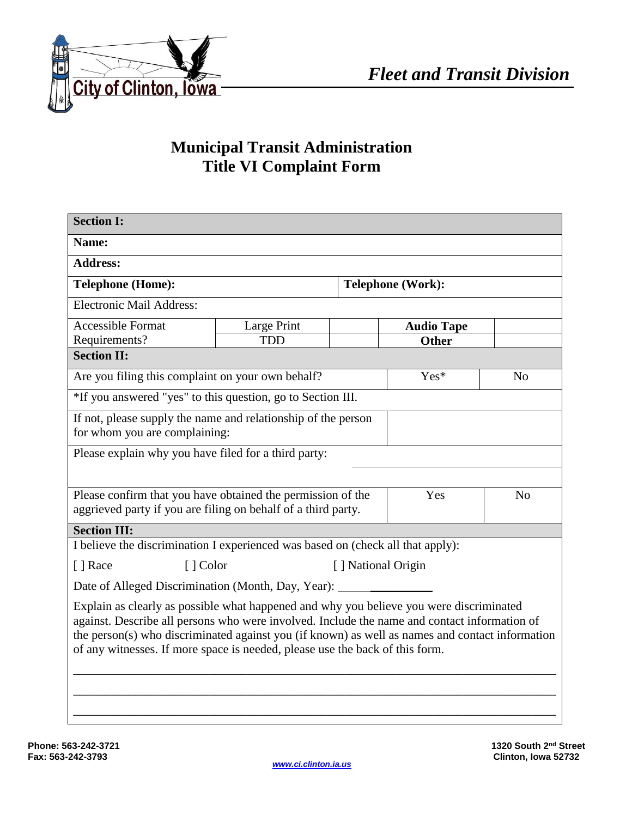

## **Municipal Transit Administration Title VI Complaint Form**

*Administration*

| <b>Section I:</b>                                                                                                                                                                                                                                                                                                                                                          |                                 |                          |                   |                |  |  |
|----------------------------------------------------------------------------------------------------------------------------------------------------------------------------------------------------------------------------------------------------------------------------------------------------------------------------------------------------------------------------|---------------------------------|--------------------------|-------------------|----------------|--|--|
| Name:                                                                                                                                                                                                                                                                                                                                                                      |                                 |                          |                   |                |  |  |
| <b>Address:</b>                                                                                                                                                                                                                                                                                                                                                            |                                 |                          |                   |                |  |  |
| <b>Telephone (Home):</b>                                                                                                                                                                                                                                                                                                                                                   |                                 | <b>Telephone (Work):</b> |                   |                |  |  |
| <b>Electronic Mail Address:</b>                                                                                                                                                                                                                                                                                                                                            |                                 |                          |                   |                |  |  |
| <b>Accessible Format</b>                                                                                                                                                                                                                                                                                                                                                   | Large Print                     |                          | <b>Audio Tape</b> |                |  |  |
| Requirements?                                                                                                                                                                                                                                                                                                                                                              | <b>TDD</b>                      |                          | <b>Other</b>      |                |  |  |
| <b>Section II:</b>                                                                                                                                                                                                                                                                                                                                                         |                                 |                          |                   |                |  |  |
| Are you filing this complaint on your own behalf?                                                                                                                                                                                                                                                                                                                          |                                 |                          | Yes*              | N <sub>o</sub> |  |  |
| *If you answered "yes" to this question, go to Section III.                                                                                                                                                                                                                                                                                                                |                                 |                          |                   |                |  |  |
| If not, please supply the name and relationship of the person                                                                                                                                                                                                                                                                                                              |                                 |                          |                   |                |  |  |
| for whom you are complaining:                                                                                                                                                                                                                                                                                                                                              |                                 |                          |                   |                |  |  |
| Please explain why you have filed for a third party:                                                                                                                                                                                                                                                                                                                       |                                 |                          |                   |                |  |  |
|                                                                                                                                                                                                                                                                                                                                                                            |                                 |                          |                   |                |  |  |
| Please confirm that you have obtained the permission of the<br>Yes<br>N <sub>0</sub>                                                                                                                                                                                                                                                                                       |                                 |                          |                   |                |  |  |
| aggrieved party if you are filing on behalf of a third party.                                                                                                                                                                                                                                                                                                              |                                 |                          |                   |                |  |  |
|                                                                                                                                                                                                                                                                                                                                                                            |                                 |                          |                   |                |  |  |
| <b>Section III:</b>                                                                                                                                                                                                                                                                                                                                                        |                                 |                          |                   |                |  |  |
| I believe the discrimination I experienced was based on (check all that apply):                                                                                                                                                                                                                                                                                            |                                 |                          |                   |                |  |  |
| [ ] Race                                                                                                                                                                                                                                                                                                                                                                   | [] National Origin<br>[ ] Color |                          |                   |                |  |  |
| Date of Alleged Discrimination (Month, Day, Year):                                                                                                                                                                                                                                                                                                                         |                                 |                          |                   |                |  |  |
| Explain as clearly as possible what happened and why you believe you were discriminated<br>against. Describe all persons who were involved. Include the name and contact information of<br>the person(s) who discriminated against you (if known) as well as names and contact information<br>of any witnesses. If more space is needed, please use the back of this form. |                                 |                          |                   |                |  |  |
|                                                                                                                                                                                                                                                                                                                                                                            |                                 |                          |                   |                |  |  |
|                                                                                                                                                                                                                                                                                                                                                                            |                                 |                          |                   |                |  |  |
|                                                                                                                                                                                                                                                                                                                                                                            |                                 |                          |                   |                |  |  |